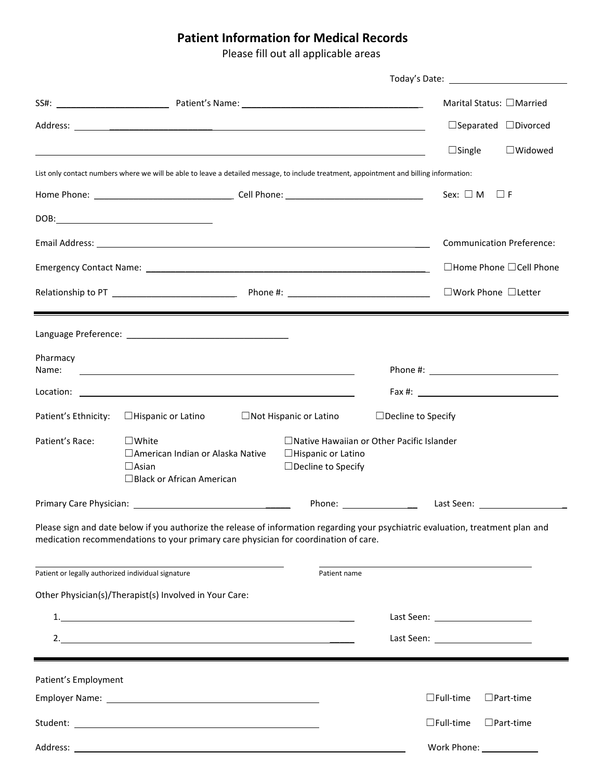## **Patient Information for Medical Records**

Please fill out all applicable areas

|                                                    |                                                                                                                                                                                                                                      |                                                        |                           |                                     | Marital Status: □Married                  |  |
|----------------------------------------------------|--------------------------------------------------------------------------------------------------------------------------------------------------------------------------------------------------------------------------------------|--------------------------------------------------------|---------------------------|-------------------------------------|-------------------------------------------|--|
|                                                    |                                                                                                                                                                                                                                      |                                                        |                           |                                     | $\Box$ Separated $\Box$ Divorced          |  |
|                                                    |                                                                                                                                                                                                                                      |                                                        |                           | $\Box$ Single                       | $\Box$ Widowed                            |  |
|                                                    | List only contact numbers where we will be able to leave a detailed message, to include treatment, appointment and billing information:                                                                                              |                                                        |                           |                                     |                                           |  |
|                                                    |                                                                                                                                                                                                                                      |                                                        |                           | Sex: $\square$ M                    | $\sqcup$ F                                |  |
|                                                    |                                                                                                                                                                                                                                      |                                                        |                           |                                     |                                           |  |
|                                                    |                                                                                                                                                                                                                                      |                                                        |                           |                                     | <b>Communication Preference:</b>          |  |
|                                                    |                                                                                                                                                                                                                                      |                                                        |                           | $\Box$ Home Phone $\Box$ Cell Phone |                                           |  |
|                                                    |                                                                                                                                                                                                                                      |                                                        |                           | □Work Phone □Letter                 |                                           |  |
|                                                    |                                                                                                                                                                                                                                      |                                                        |                           |                                     |                                           |  |
|                                                    | Language Preference: National Assembly Control of the Control of the Control of the Control of the Control of the Control of the Control of the Control of the Control of the Control of the Control of the Control of the Con       |                                                        |                           |                                     |                                           |  |
| Pharmacy                                           |                                                                                                                                                                                                                                      |                                                        |                           |                                     |                                           |  |
| Name:                                              | <u>state and the state of the state of the state of the state of the state of the state of the state of the state of the state of the state of the state of the state of the state of the state of the state of the state of the</u> |                                                        |                           |                                     |                                           |  |
|                                                    |                                                                                                                                                                                                                                      |                                                        |                           |                                     |                                           |  |
| Patient's Ethnicity:                               | $\Box$ Hispanic or Latino                                                                                                                                                                                                            | $\Box$ Not Hispanic or Latino                          | $\Box$ Decline to Specify |                                     |                                           |  |
| Patient's Race:                                    | $\square$ White<br>□ American Indian or Alaska Native                                                                                                                                                                                | $\Box$ Native Hawaiian or Other Pacific Islander       |                           |                                     |                                           |  |
|                                                    | $\Box$ Asian                                                                                                                                                                                                                         | $\Box$ Hispanic or Latino<br>$\Box$ Decline to Specify |                           |                                     |                                           |  |
|                                                    | $\Box$ Black or African American                                                                                                                                                                                                     |                                                        |                           |                                     |                                           |  |
|                                                    | Primary Care Physician: The Case of the Case of the Case of the Case of the Case of the Case of the Case of the                                                                                                                      |                                                        |                           |                                     | Last Seen: 1988                           |  |
|                                                    | Please sign and date below if you authorize the release of information regarding your psychiatric evaluation, treatment plan and<br>medication recommendations to your primary care physician for coordination of care.              |                                                        |                           |                                     |                                           |  |
| Patient or legally authorized individual signature |                                                                                                                                                                                                                                      | Patient name                                           |                           |                                     |                                           |  |
|                                                    | Other Physician(s)/Therapist(s) Involved in Your Care:                                                                                                                                                                               |                                                        |                           |                                     |                                           |  |
|                                                    |                                                                                                                                                                                                                                      |                                                        |                           |                                     |                                           |  |
|                                                    | 2.                                                                                                                                                                                                                                   |                                                        |                           |                                     | Last Seen: <u>_______________________</u> |  |
|                                                    |                                                                                                                                                                                                                                      |                                                        |                           |                                     |                                           |  |
| Patient's Employment                               |                                                                                                                                                                                                                                      |                                                        |                           |                                     |                                           |  |
|                                                    |                                                                                                                                                                                                                                      |                                                        |                           | $\Box$ Full-time                    | $\Box$ Part-time                          |  |
|                                                    |                                                                                                                                                                                                                                      |                                                        |                           | $\Box$ Full-time                    | $\Box$ Part-time                          |  |
|                                                    |                                                                                                                                                                                                                                      |                                                        |                           |                                     | Work Phone: Work                          |  |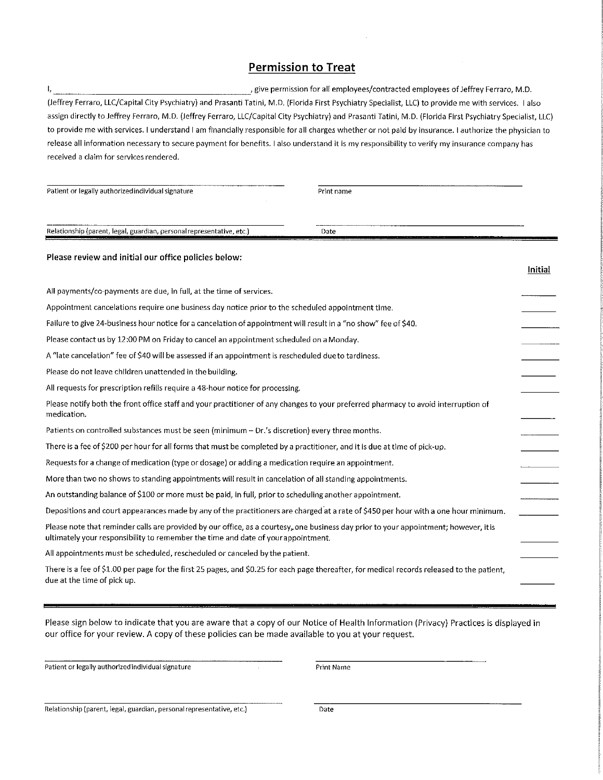## **Permission to Treat**

ŧ, , give permission for all employees/contracted employees of Jeffrey Ferraro, M.D. (Jeffrey Ferraro, LLC/Capital City Psychiatry) and Prasanti Tatini, M.D. (Florida First Psychiatry Specialist, LLC) to provide me with services. I also assign directly to Jeffrey Ferraro, M.D. (Jeffrey Ferraro, LLC/Capital City Psychiatry) and Prasanti Tatini, M.D. (Florida First Psychiatry Specialist, LLC) to provide me with services. I understand I am financially responsible for all charges whether or not paid by insurance. I authorize the physician to release all information necessary to secure payment for benefits. I also understand it is my responsibility to verify my insurance company has received a claim for services rendered.

| Patient or legally authorized individual signature                                                                                                                                                                         | Print name |         |  |
|----------------------------------------------------------------------------------------------------------------------------------------------------------------------------------------------------------------------------|------------|---------|--|
| Relationship (parent, legal, guardian, personal representative, etc.)                                                                                                                                                      | Date       |         |  |
| Please review and initial our office policies below:                                                                                                                                                                       |            | Initial |  |
| All payments/co-payments are due, in full, at the time of services.                                                                                                                                                        |            |         |  |
| Appointment cancelations require one business day notice prior to the scheduled appointment time.                                                                                                                          |            |         |  |
| Failure to give 24-business hour notice for a cancelation of appointment will result in a "no show" fee of \$40.                                                                                                           |            |         |  |
| Please contact us by 12:00 PM on Friday to cancel an appointment scheduled on a Monday.                                                                                                                                    |            |         |  |
| A "late cancelation" fee of \$40 will be assessed if an appointment is rescheduled due to tardiness.                                                                                                                       |            |         |  |
| Please do not leave children unattended in the building.                                                                                                                                                                   |            |         |  |
| All requests for prescription refills require a 48-hour notice for processing.                                                                                                                                             |            |         |  |
| Please notify both the front office staff and your practitioner of any changes to your preferred pharmacy to avoid interruption of<br>medication.                                                                          |            |         |  |
| Patients on controlled substances must be seen (minimum - Dr.'s discretion) every three months.                                                                                                                            |            |         |  |
| There is a fee of \$200 per hour for all forms that must be completed by a practitioner, and it is due at time of pick-up.                                                                                                 |            |         |  |
| Requests for a change of medication (type or dosage) or adding a medication require an appointment.                                                                                                                        |            |         |  |
| More than two no shows to standing appointments will result in cancelation of all standing appointments.                                                                                                                   |            |         |  |
| An outstanding balance of \$100 or more must be paid, in full, prior to scheduling another appointment.                                                                                                                    |            |         |  |
| Depositions and court appearances made by any of the practitioners are charged at a rate of \$450 per hour with a one hour minimum.                                                                                        |            |         |  |
| Please note that reminder calls are provided by our office, as a courtesy, one business day prior to your appointment; however, it is<br>ultimately your responsibility to remember the time and date of your appointment. |            |         |  |
| All appointments must be scheduled, rescheduled or canceled by the patient.                                                                                                                                                |            |         |  |
| There is a fee of \$1.00 per page for the first 25 pages, and \$0.25 for each page thereafter, for medical records released to the patient,<br>due at the time of pick up.                                                 |            |         |  |

Please sign below to indicate that you are aware that a copy of our Notice of Health Information (Privacy) Practices is displayed in our office for your review. A copy of these policies can be made available to you at your request.

 $\bar{z}$ 

Patient or legally authorized individual signature

Print Name

Relationship (parent, legal, guardian, personal representative, etc.)

Date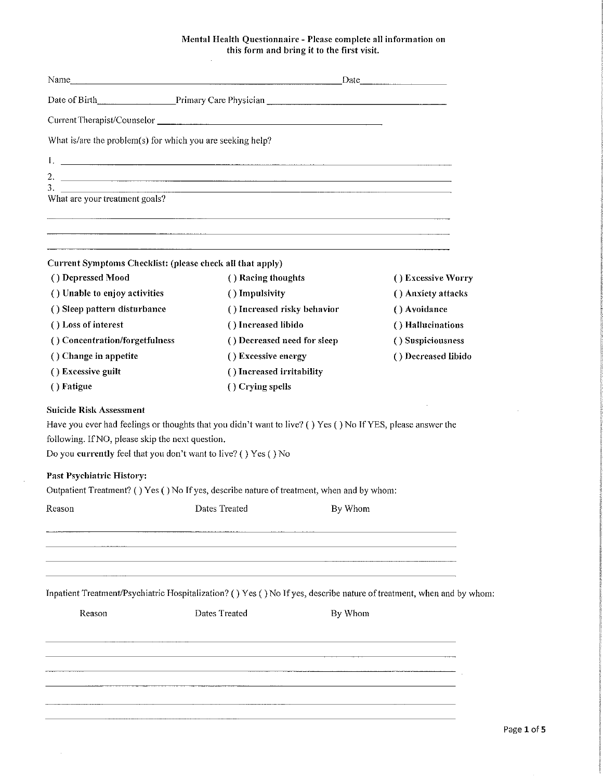## Mental Health Questionnaire - Please complete all information on<br>this form and bring it to the first visit.

| What is/are the problem(s) for which you are seeking help?                                                                                                                                                                                                             |                                                                                  |         |                     |  |
|------------------------------------------------------------------------------------------------------------------------------------------------------------------------------------------------------------------------------------------------------------------------|----------------------------------------------------------------------------------|---------|---------------------|--|
|                                                                                                                                                                                                                                                                        |                                                                                  |         |                     |  |
|                                                                                                                                                                                                                                                                        |                                                                                  |         |                     |  |
|                                                                                                                                                                                                                                                                        |                                                                                  |         |                     |  |
| What are your treatment goals?                                                                                                                                                                                                                                         |                                                                                  |         |                     |  |
|                                                                                                                                                                                                                                                                        |                                                                                  |         |                     |  |
|                                                                                                                                                                                                                                                                        | ,一个人的人都是一个人的人,但是,我们的人都是不是,我们的人都是不是,我们的人都是不是,我们的人都是不是,我们的人都是不是,我们的人都是不是,我们的人都是不是, |         |                     |  |
| Current Symptoms Checklist: (please check all that apply)                                                                                                                                                                                                              |                                                                                  |         |                     |  |
| () Depressed Mood                                                                                                                                                                                                                                                      | () Racing thoughts                                                               |         | () Excessive Worry  |  |
| () Unable to enjoy activities                                                                                                                                                                                                                                          | () Impulsivity                                                                   |         | () Anxiety attacks  |  |
| () Sleep pattern disturbance                                                                                                                                                                                                                                           | () Increased risky behavior                                                      |         | () Avoidance        |  |
| () Loss of interest                                                                                                                                                                                                                                                    | () Increased libido                                                              |         | () Hallucinations   |  |
| () Concentration/forgetfulness                                                                                                                                                                                                                                         | () Decreased need for sleep                                                      |         | () Suspiciousness   |  |
| () Change in appetite                                                                                                                                                                                                                                                  | () Excessive energy                                                              |         | () Decreased libido |  |
| () Excessive guilt                                                                                                                                                                                                                                                     | () Increased irritability                                                        |         |                     |  |
| () Fatigue                                                                                                                                                                                                                                                             | () Crying spells                                                                 |         |                     |  |
| Have you ever had feelings or thoughts that you didn't want to live? () Yes () No If YES, please answer the<br>following. If NO, please skip the next question.<br>Do you currently feel that you don't want to live? () Yes () No<br><b>Past Psychiatric History:</b> |                                                                                  |         |                     |  |
| Outpatient Treatment? () Yes () No If yes, describe nature of treatment, when and by whom:                                                                                                                                                                             |                                                                                  |         |                     |  |
| Reason Dates Treated By Whom                                                                                                                                                                                                                                           |                                                                                  |         |                     |  |
|                                                                                                                                                                                                                                                                        |                                                                                  |         |                     |  |
|                                                                                                                                                                                                                                                                        |                                                                                  |         |                     |  |
| Inpatient Treatment/Psychiatric Hospitalization? () Yes () No If yes, describe nature of treatment, when and by whom:                                                                                                                                                  |                                                                                  |         |                     |  |
| Reason                                                                                                                                                                                                                                                                 | Dates Treated                                                                    | By Whom |                     |  |
|                                                                                                                                                                                                                                                                        |                                                                                  |         |                     |  |
|                                                                                                                                                                                                                                                                        |                                                                                  |         |                     |  |
|                                                                                                                                                                                                                                                                        |                                                                                  |         |                     |  |
|                                                                                                                                                                                                                                                                        |                                                                                  |         |                     |  |
|                                                                                                                                                                                                                                                                        |                                                                                  |         |                     |  |
|                                                                                                                                                                                                                                                                        |                                                                                  |         |                     |  |

 $\sim$   $\sim$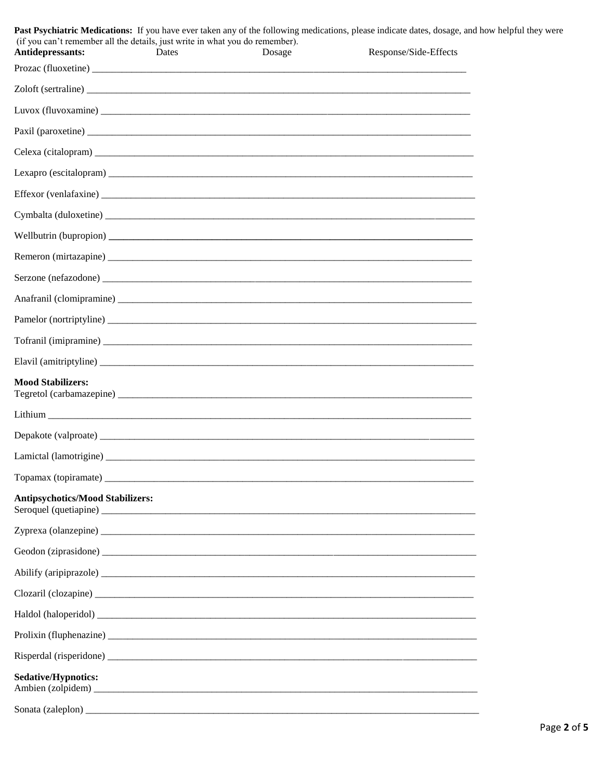| (if you can't remember all the details, just write in what you do remember).<br>Antidepressants:                                                                                                                               | Dates | Dosage | Past Psychiatric Medications: If you have ever taken any of the following medications, please indicate dates, dosage, and how helpful they were<br>Response/Side-Effects |  |
|--------------------------------------------------------------------------------------------------------------------------------------------------------------------------------------------------------------------------------|-------|--------|--------------------------------------------------------------------------------------------------------------------------------------------------------------------------|--|
|                                                                                                                                                                                                                                |       |        |                                                                                                                                                                          |  |
|                                                                                                                                                                                                                                |       |        |                                                                                                                                                                          |  |
|                                                                                                                                                                                                                                |       |        |                                                                                                                                                                          |  |
|                                                                                                                                                                                                                                |       |        |                                                                                                                                                                          |  |
|                                                                                                                                                                                                                                |       |        |                                                                                                                                                                          |  |
|                                                                                                                                                                                                                                |       |        |                                                                                                                                                                          |  |
|                                                                                                                                                                                                                                |       |        |                                                                                                                                                                          |  |
|                                                                                                                                                                                                                                |       |        |                                                                                                                                                                          |  |
| Wellbutrin (bupropion) expansion and the contract of the contract of the contract of the contract of the contract of the contract of the contract of the contract of the contract of the contract of the contract of the contr |       |        |                                                                                                                                                                          |  |
|                                                                                                                                                                                                                                |       |        |                                                                                                                                                                          |  |
|                                                                                                                                                                                                                                |       |        |                                                                                                                                                                          |  |
|                                                                                                                                                                                                                                |       |        |                                                                                                                                                                          |  |
|                                                                                                                                                                                                                                |       |        |                                                                                                                                                                          |  |
|                                                                                                                                                                                                                                |       |        |                                                                                                                                                                          |  |
|                                                                                                                                                                                                                                |       |        |                                                                                                                                                                          |  |
| <b>Mood Stabilizers:</b>                                                                                                                                                                                                       |       |        |                                                                                                                                                                          |  |
|                                                                                                                                                                                                                                |       |        |                                                                                                                                                                          |  |
|                                                                                                                                                                                                                                |       |        |                                                                                                                                                                          |  |
|                                                                                                                                                                                                                                |       |        |                                                                                                                                                                          |  |
|                                                                                                                                                                                                                                |       |        |                                                                                                                                                                          |  |
| <b>Antipsychotics/Mood Stabilizers:</b>                                                                                                                                                                                        |       |        |                                                                                                                                                                          |  |
|                                                                                                                                                                                                                                |       |        |                                                                                                                                                                          |  |
|                                                                                                                                                                                                                                |       |        |                                                                                                                                                                          |  |
|                                                                                                                                                                                                                                |       |        |                                                                                                                                                                          |  |
|                                                                                                                                                                                                                                |       |        |                                                                                                                                                                          |  |
|                                                                                                                                                                                                                                |       |        |                                                                                                                                                                          |  |
|                                                                                                                                                                                                                                |       |        |                                                                                                                                                                          |  |
|                                                                                                                                                                                                                                |       |        |                                                                                                                                                                          |  |
| <b>Sedative/Hypnotics:</b>                                                                                                                                                                                                     |       |        |                                                                                                                                                                          |  |
|                                                                                                                                                                                                                                |       |        |                                                                                                                                                                          |  |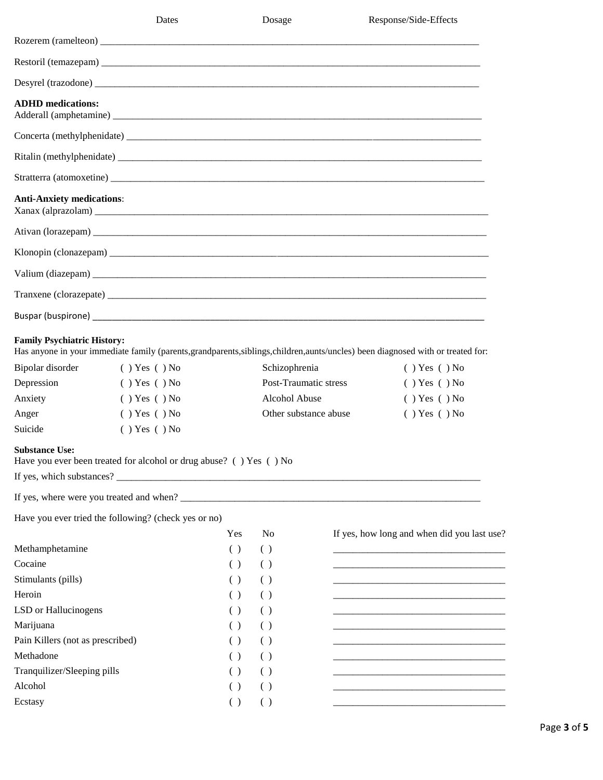|                                                                                                     | Dates                                                                                                          |                    | Dosage                         |                                                | Response/Side-Effects                                                                                                                                                                                                     |
|-----------------------------------------------------------------------------------------------------|----------------------------------------------------------------------------------------------------------------|--------------------|--------------------------------|------------------------------------------------|---------------------------------------------------------------------------------------------------------------------------------------------------------------------------------------------------------------------------|
|                                                                                                     |                                                                                                                |                    |                                |                                                |                                                                                                                                                                                                                           |
|                                                                                                     |                                                                                                                |                    |                                |                                                |                                                                                                                                                                                                                           |
|                                                                                                     |                                                                                                                |                    |                                |                                                |                                                                                                                                                                                                                           |
| <b>ADHD</b> medications:                                                                            |                                                                                                                |                    |                                |                                                |                                                                                                                                                                                                                           |
|                                                                                                     |                                                                                                                |                    |                                |                                                |                                                                                                                                                                                                                           |
|                                                                                                     |                                                                                                                |                    |                                |                                                |                                                                                                                                                                                                                           |
|                                                                                                     |                                                                                                                |                    |                                |                                                |                                                                                                                                                                                                                           |
| <b>Anti-Anxiety medications:</b>                                                                    |                                                                                                                |                    |                                |                                                |                                                                                                                                                                                                                           |
|                                                                                                     |                                                                                                                |                    |                                |                                                |                                                                                                                                                                                                                           |
|                                                                                                     |                                                                                                                |                    |                                |                                                |                                                                                                                                                                                                                           |
|                                                                                                     | Valium (diazepam)                                                                                              |                    |                                |                                                |                                                                                                                                                                                                                           |
|                                                                                                     |                                                                                                                |                    |                                |                                                |                                                                                                                                                                                                                           |
|                                                                                                     | Buspar (buspirone) et al. 2010 and 2010 and 2010 and 2010 and 2010 and 2010 and 2010 and 2010 and 2010 and 201 |                    |                                |                                                |                                                                                                                                                                                                                           |
| <b>Family Psychiatric History:</b><br>Bipolar disorder<br>Depression<br>Anxiety<br>Anger<br>Suicide | () Yes () No<br>$( )$ Yes $( )$ No<br>$( )$ Yes $( )$ No<br>$( )$ Yes $( )$ No<br>$( )$ Yes $( )$ No           |                    | Schizophrenia<br>Alcohol Abuse | Post-Traumatic stress<br>Other substance abuse | Has anyone in your immediate family (parents, grandparents, siblings, children, aunts/uncles) been diagnosed with or treated for:<br>$( )$ Yes $( )$ No<br>$( )$ Yes $( )$ No<br>$( )$ Yes $( )$ No<br>$( )$ Yes $( )$ No |
| <b>Substance Use:</b>                                                                               | Have you ever been treated for alcohol or drug abuse? ( ) Yes ( ) No                                           |                    |                                |                                                |                                                                                                                                                                                                                           |
|                                                                                                     | Have you ever tried the following? (check yes or no)                                                           |                    |                                |                                                |                                                                                                                                                                                                                           |
|                                                                                                     |                                                                                                                | Yes                | N <sub>o</sub>                 |                                                | If yes, how long and when did you last use?                                                                                                                                                                               |
| Methamphetamine                                                                                     |                                                                                                                | ( )                | ( )                            |                                                |                                                                                                                                                                                                                           |
| Cocaine                                                                                             |                                                                                                                | $\left( \ \right)$ | ( )                            |                                                |                                                                                                                                                                                                                           |
| Stimulants (pills)                                                                                  |                                                                                                                | ( )                | ( )                            |                                                |                                                                                                                                                                                                                           |
| Heroin                                                                                              |                                                                                                                | ( )                | $\left( \quad \right)$         |                                                |                                                                                                                                                                                                                           |
| LSD or Hallucinogens                                                                                |                                                                                                                | $\left( \ \right)$ | ( )                            |                                                |                                                                                                                                                                                                                           |
| Marijuana                                                                                           |                                                                                                                | ( )                | ( )                            |                                                |                                                                                                                                                                                                                           |
| Pain Killers (not as prescribed)                                                                    |                                                                                                                | ( )                | ( )                            |                                                |                                                                                                                                                                                                                           |
| Methadone                                                                                           |                                                                                                                | $\left( \right)$   | ( )                            |                                                | <u> 1989 - Johann John Stein, mars an deus Amerikaansk kommunister (</u>                                                                                                                                                  |
| Tranquilizer/Sleeping pills                                                                         |                                                                                                                | $\left( \right)$   | ( )                            |                                                |                                                                                                                                                                                                                           |
| Alcohol                                                                                             |                                                                                                                | ( )                | ( )                            |                                                |                                                                                                                                                                                                                           |
| Ecstasy                                                                                             |                                                                                                                | ( )                | ( )                            |                                                |                                                                                                                                                                                                                           |
|                                                                                                     |                                                                                                                |                    |                                |                                                |                                                                                                                                                                                                                           |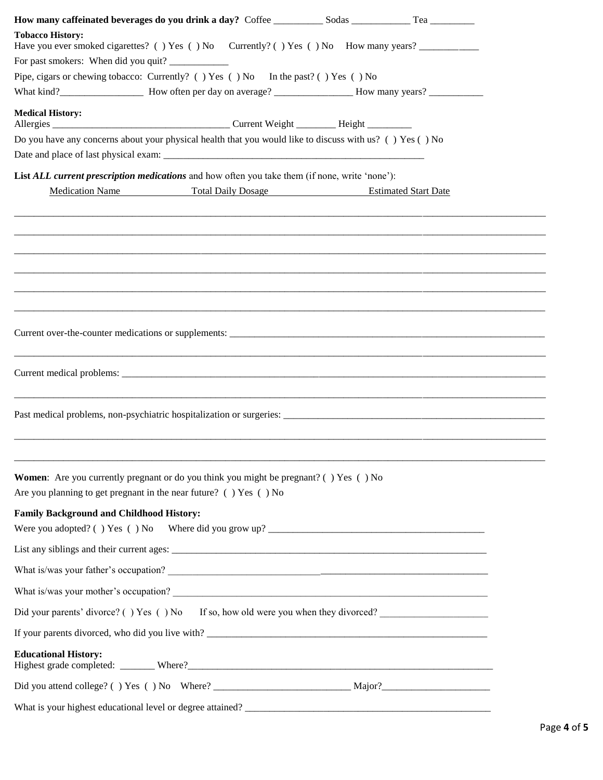| <b>Tobacco History:</b>                                                                        | Have you ever smoked cigarettes? () Yes () No Currently? () Yes () No How many years? ______________                                                                                                                             |
|------------------------------------------------------------------------------------------------|----------------------------------------------------------------------------------------------------------------------------------------------------------------------------------------------------------------------------------|
|                                                                                                |                                                                                                                                                                                                                                  |
| Pipe, cigars or chewing tobacco: Currently? () Yes () No In the past? () Yes () No             |                                                                                                                                                                                                                                  |
|                                                                                                |                                                                                                                                                                                                                                  |
| <b>Medical History:</b>                                                                        |                                                                                                                                                                                                                                  |
|                                                                                                | Do you have any concerns about your physical health that you would like to discuss with us? () Yes () No                                                                                                                         |
|                                                                                                |                                                                                                                                                                                                                                  |
| List ALL current prescription medications and how often you take them (if none, write 'none'): |                                                                                                                                                                                                                                  |
| <b>Medication Name</b>                                                                         | <b>Total Daily Dosage</b><br><b>Estimated Start Date</b>                                                                                                                                                                         |
|                                                                                                |                                                                                                                                                                                                                                  |
|                                                                                                |                                                                                                                                                                                                                                  |
|                                                                                                |                                                                                                                                                                                                                                  |
|                                                                                                |                                                                                                                                                                                                                                  |
|                                                                                                |                                                                                                                                                                                                                                  |
|                                                                                                |                                                                                                                                                                                                                                  |
|                                                                                                |                                                                                                                                                                                                                                  |
|                                                                                                |                                                                                                                                                                                                                                  |
|                                                                                                |                                                                                                                                                                                                                                  |
|                                                                                                |                                                                                                                                                                                                                                  |
|                                                                                                |                                                                                                                                                                                                                                  |
|                                                                                                |                                                                                                                                                                                                                                  |
|                                                                                                |                                                                                                                                                                                                                                  |
|                                                                                                |                                                                                                                                                                                                                                  |
| <b>Women:</b> Are you currently pregnant or do you think you might be pregnant? () Yes () No   |                                                                                                                                                                                                                                  |
| Are you planning to get pregnant in the near future? () Yes () No                              |                                                                                                                                                                                                                                  |
| <b>Family Background and Childhood History:</b>                                                |                                                                                                                                                                                                                                  |
|                                                                                                |                                                                                                                                                                                                                                  |
|                                                                                                |                                                                                                                                                                                                                                  |
|                                                                                                |                                                                                                                                                                                                                                  |
|                                                                                                | What is/was your mother's occupation?<br>The second contract of the second contract of the second contract of the second contract of the second contract of the second contract of the second contract of the second contract of |
|                                                                                                | Did your parents' divorce? () Yes () No If so, how old were you when they divorced?                                                                                                                                              |
|                                                                                                | If your parents divorced, who did you live with?                                                                                                                                                                                 |
| <b>Educational History:</b>                                                                    |                                                                                                                                                                                                                                  |
|                                                                                                |                                                                                                                                                                                                                                  |
|                                                                                                |                                                                                                                                                                                                                                  |
|                                                                                                |                                                                                                                                                                                                                                  |